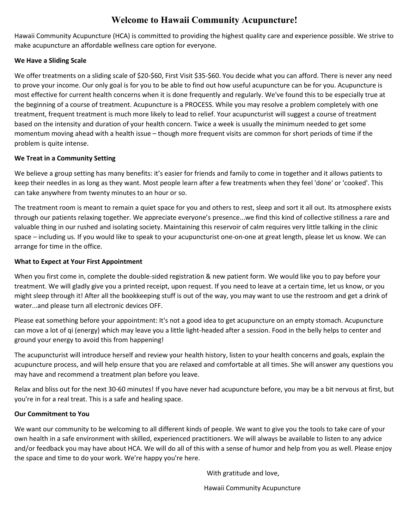## **Welcome to Hawaii Community Acupuncture!**

Hawaii Community Acupuncture (HCA) is committed to providing the highest quality care and experience possible. We strive to make acupuncture an affordable wellness care option for everyone.

#### **We Have a Sliding Scale**

We offer treatments on a sliding scale of \$20-\$60, First Visit \$35-\$60. You decide what you can afford. There is never any need to prove your income. Our only goal is for you to be able to find out how useful acupuncture can be for you. Acupuncture is most effective for current health concerns when it is done frequently and regularly. We've found this to be especially true at the beginning of a course of treatment. Acupuncture is a PROCESS. While you may resolve a problem completely with one treatment, frequent treatment is much more likely to lead to relief. Your acupuncturist will suggest a course of treatment based on the intensity and duration of your health concern. Twice a week is usually the minimum needed to get some momentum moving ahead with a health issue – though more frequent visits are common for short periods of time if the problem is quite intense.

### **We Treat in a Community Setting**

We believe a group setting has many benefits: it's easier for friends and family to come in together and it allows patients to keep their needles in as long as they want. Most people learn after a few treatments when they feel 'done' or 'cooked'. This can take anywhere from twenty minutes to an hour or so.

The treatment room is meant to remain a quiet space for you and others to rest, sleep and sort it all out. Its atmosphere exists through our patients relaxing together. We appreciate everyone's presence...we find this kind of collective stillness a rare and valuable thing in our rushed and isolating society. Maintaining this reservoir of calm requires very little talking in the clinic space – including us. If you would like to speak to your acupuncturist one-on-one at great length, please let us know. We can arrange for time in the office.

### **What to Expect at Your First Appointment**

When you first come in, complete the double-sided registration & new patient form. We would like you to pay before your treatment. We will gladly give you a printed receipt, upon request. If you need to leave at a certain time, let us know, or you might sleep through it! After all the bookkeeping stuff is out of the way, you may want to use the restroom and get a drink of water...and please turn all electronic devices OFF.

Please eat something before your appointment: It's not a good idea to get acupuncture on an empty stomach. Acupuncture can move a lot of qi (energy) which may leave you a little light-headed after a session. Food in the belly helps to center and ground your energy to avoid this from happening!

The acupuncturist will introduce herself and review your health history, listen to your health concerns and goals, explain the acupuncture process, and will help ensure that you are relaxed and comfortable at all times. She will answer any questions you may have and recommend a treatment plan before you leave.

Relax and bliss out for the next 30-60 minutes! If you have never had acupuncture before, you may be a bit nervous at first, but you're in for a real treat. This is a safe and healing space.

#### **Our Commitment to You**

We want our community to be welcoming to all different kinds of people. We want to give you the tools to take care of your own health in a safe environment with skilled, experienced practitioners. We will always be available to listen to any advice and/or feedback you may have about HCA. We will do all of this with a sense of humor and help from you as well. Please enjoy the space and time to do your work. We're happy you're here.

With gratitude and love,

Hawaii Community Acupuncture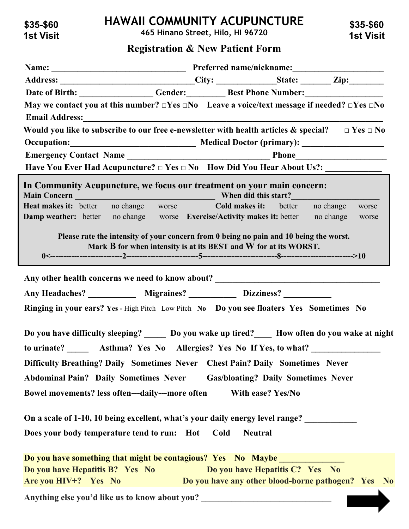**\$35-\$60 1st Visit**

## **HAWAII COMMUNITY ACUPUNCTURE**

**465 Hinano Street, Hilo, HI 96720**

**\$35-\$60 1st Visit**

## **Registration & New Patient Form**

| Address: ________________________________City: ________________State: _________ Zip:________________               |                                                                  |                                                    |  |       |  |
|--------------------------------------------------------------------------------------------------------------------|------------------------------------------------------------------|----------------------------------------------------|--|-------|--|
| Date of Birth: Gender: Gender: Best Phone Number:                                                                  |                                                                  |                                                    |  |       |  |
| May we contact you at this number? $\Box$ Yes $\Box$ No Leave a voice/text message if needed? $\Box$ Yes $\Box$ No |                                                                  |                                                    |  |       |  |
|                                                                                                                    |                                                                  |                                                    |  |       |  |
| Would you like to subscribe to our free e-newsletter with health articles & special? $\Box$ Yes $\Box$ No          |                                                                  |                                                    |  |       |  |
|                                                                                                                    |                                                                  |                                                    |  |       |  |
|                                                                                                                    |                                                                  |                                                    |  |       |  |
|                                                                                                                    |                                                                  |                                                    |  |       |  |
| In Community Acupuncture, we focus our treatment on your main concern:                                             |                                                                  |                                                    |  |       |  |
| <b>Heat makes it:</b> better no change worse <b>Cold makes it:</b> better no change                                |                                                                  |                                                    |  | worse |  |
| <b>Damp weather:</b> better no change worse <b>Exercise/Activity makes it:</b> better no change                    |                                                                  |                                                    |  | worse |  |
|                                                                                                                    | Mark B for when intensity is at its BEST and W for at its WORST. |                                                    |  |       |  |
| Any Headaches? ______________ Migraines? ______________ Dizziness? _____________                                   |                                                                  |                                                    |  |       |  |
|                                                                                                                    |                                                                  |                                                    |  |       |  |
| Ringing in your ears? Yes - High Pitch Low Pitch No Do you see floaters Yes Sometimes No                           |                                                                  |                                                    |  |       |  |
| Do you have difficulty sleeping? ______ Do you wake up tired? How often do you wake at night                       |                                                                  |                                                    |  |       |  |
| to urinate? ________ Asthma? Yes No Allergies? Yes No If Yes, to what? __________                                  |                                                                  |                                                    |  |       |  |
| Difficulty Breathing? Daily Sometimes Never Chest Pain? Daily Sometimes Never                                      |                                                                  |                                                    |  |       |  |
| <b>Abdominal Pain? Daily Sometimes Never</b>                                                                       |                                                                  | <b>Gas/bloating? Daily Sometimes Never</b>         |  |       |  |
| Bowel movements? less often---daily---more often                                                                   |                                                                  | With ease? Yes/No                                  |  |       |  |
|                                                                                                                    |                                                                  |                                                    |  |       |  |
| On a scale of 1-10, 10 being excellent, what's your daily energy level range?                                      |                                                                  |                                                    |  |       |  |
| Does your body temperature tend to run: Hot                                                                        |                                                                  | Cold<br><b>Neutral</b>                             |  |       |  |
|                                                                                                                    |                                                                  |                                                    |  |       |  |
| Do you have something that might be contagious? Yes No Maybe                                                       |                                                                  |                                                    |  |       |  |
| Do you have Hepatitis B? Yes No                                                                                    |                                                                  | Do you have Hepatitis C? Yes No                    |  |       |  |
| Are you HIV+? Yes No                                                                                               |                                                                  | Do you have any other blood-borne pathogen? Yes No |  |       |  |
|                                                                                                                    |                                                                  |                                                    |  |       |  |

Anything else you'd like us to know about you? \_\_\_\_\_\_\_\_\_\_\_\_\_\_\_\_\_\_\_\_\_\_\_\_\_\_\_\_\_\_\_\_\_\_